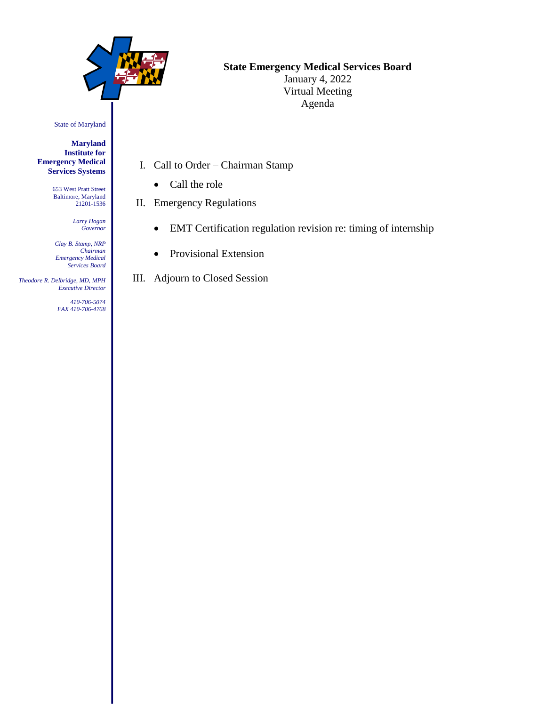

## **State Emergency Medical Services Board**

January 4, 2022 Virtual Meeting Agenda

State of Maryland

**Maryland Institute for Emergency Medical Services Systems**

> 653 West Pratt Street Baltimore, Maryland 21201-1536

> > *Larry Hogan Governor*

*Clay B. Stamp, NRP Chairman Emergency Medical Services Board*

 *Theodore R. Delbridge, MD, MPH Executive Director*

> *410-706-5074 FAX 410-706-4768*

- I. Call to Order Chairman Stamp
	- Call the role
- II. Emergency Regulations
	- EMT Certification regulation revision re: timing of internship
	- Provisional Extension

III. Adjourn to Closed Session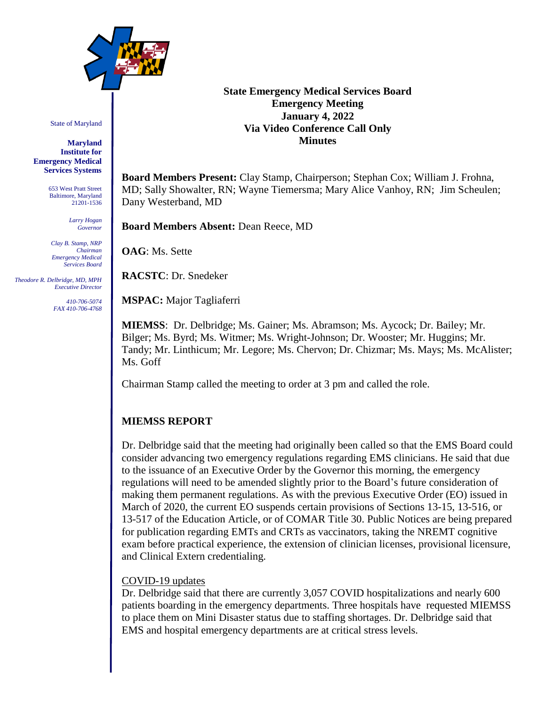

State of Maryland

**Maryland Institute for Emergency Medical Services Systems**

> 653 West Pratt Street Baltimore, Maryland 21201-1536

> > *Larry Hogan Governor*

*Clay B. Stamp, NRP Chairman Emergency Medical Services Board*

 *Theodore R. Delbridge, MD, MPH Executive Director*

> *410-706-5074 FAX 410-706-4768*

## **State Emergency Medical Services Board Emergency Meeting January 4, 2022 Via Video Conference Call Only Minutes**

**Board Members Present:** Clay Stamp, Chairperson; Stephan Cox; William J. Frohna, MD; Sally Showalter, RN; Wayne Tiemersma; Mary Alice Vanhoy, RN; Jim Scheulen; Dany Westerband, MD

**Board Members Absent:** Dean Reece, MD

**OAG**: Ms. Sette

**RACSTC**: Dr. Snedeker

**MSPAC:** Major Tagliaferri

**MIEMSS**: Dr. Delbridge; Ms. Gainer; Ms. Abramson; Ms. Aycock; Dr. Bailey; Mr. Bilger; Ms. Byrd; Ms. Witmer; Ms. Wright-Johnson; Dr. Wooster; Mr. Huggins; Mr. Tandy; Mr. Linthicum; Mr. Legore; Ms. Chervon; Dr. Chizmar; Ms. Mays; Ms. McAlister; Ms. Goff

Chairman Stamp called the meeting to order at 3 pm and called the role.

## **MIEMSS REPORT**

Dr. Delbridge said that the meeting had originally been called so that the EMS Board could consider advancing two emergency regulations regarding EMS clinicians. He said that due to the issuance of an Executive Order by the Governor this morning, the emergency regulations will need to be amended slightly prior to the Board's future consideration of making them permanent regulations. As with the previous Executive Order (EO) issued in March of 2020, the current EO suspends certain provisions of Sections 13-15, 13-516, or 13-517 of the Education Article, or of COMAR Title 30. Public Notices are being prepared for publication regarding EMTs and CRTs as vaccinators, taking the NREMT cognitive exam before practical experience, the extension of clinician licenses, provisional licensure, and Clinical Extern credentialing.

## COVID-19 updates

Dr. Delbridge said that there are currently 3,057 COVID hospitalizations and nearly 600 patients boarding in the emergency departments. Three hospitals have requested MIEMSS to place them on Mini Disaster status due to staffing shortages. Dr. Delbridge said that EMS and hospital emergency departments are at critical stress levels.